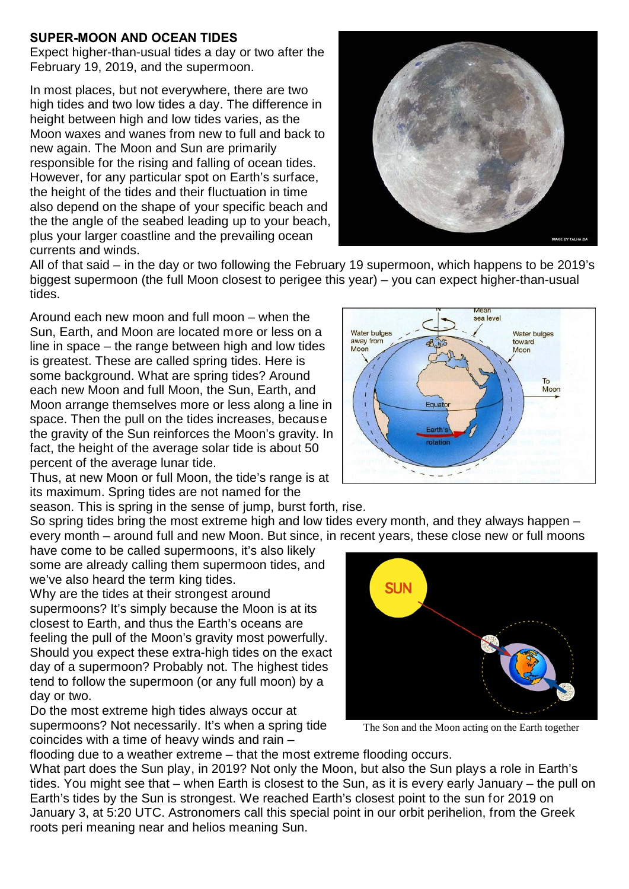## **SUPER-MOON AND OCEAN TIDES**

Expect higher-than-usual tides a day or two after the February 19, 2019, and the supermoon.

In most places, but not everywhere, there are two high tides and two low tides a day. The difference in height between high and low tides varies, as the Moon waxes and wanes from new to full and back to new again. The Moon and Sun are primarily responsible for the rising and falling of ocean tides. However, for any particular spot on Earth's surface, the height of the tides and their fluctuation in time also depend on the shape of your specific beach and the the angle of the seabed leading up to your beach, plus your larger coastline and the prevailing ocean currents and winds.



All of that said – in the day or two following the February 19 supermoon, which happens to be 2019's biggest supermoon (the full Moon closest to perigee this year) – you can expect higher-than-usual tides.

Around each new moon and full moon – when the Sun, Earth, and Moon are located more or less on a line in space – the range between high and low tides is greatest. These are called spring tides. Here is some background. What are spring tides? Around each new Moon and full Moon, the Sun, Earth, and Moon arrange themselves more or less along a line in space. Then the pull on the tides increases, because the gravity of the Sun reinforces the Moon's gravity. In fact, the height of the average solar tide is about 50 percent of the average lunar tide.

Thus, at new Moon or full Moon, the tide's range is at its maximum. Spring tides are not named for the

season. This is spring in the sense of jump, burst forth, rise.

So spring tides bring the most extreme high and low tides every month, and they always happen – every month – around full and new Moon. But since, in recent years, these close new or full moons

have come to be called supermoons, it's also likely some are already calling them supermoon tides, and we've also heard the term king tides.

Why are the tides at their strongest around supermoons? It's simply because the Moon is at its closest to Earth, and thus the Earth's oceans are feeling the pull of the Moon's gravity most powerfully. Should you expect these extra-high tides on the exact day of a supermoon? Probably not. The highest tides tend to follow the supermoon (or any full moon) by a day or two.

Do the most extreme high tides always occur at supermoons? Not necessarily. It's when a spring tide coincides with a time of heavy winds and rain –



The Son and the Moon acting on the Earth together

flooding due to a weather extreme – that the most extreme flooding occurs.

What part does the Sun play, in 2019? Not only the Moon, but also the Sun plays a role in Earth's tides. You might see that – when Earth is closest to the Sun, as it is every early January – the pull on Earth's tides by the Sun is strongest. We reached Earth's closest point to the sun for 2019 on January 3, at 5:20 UTC. Astronomers call this special point in our orbit perihelion, from the Greek roots peri meaning near and helios meaning Sun.